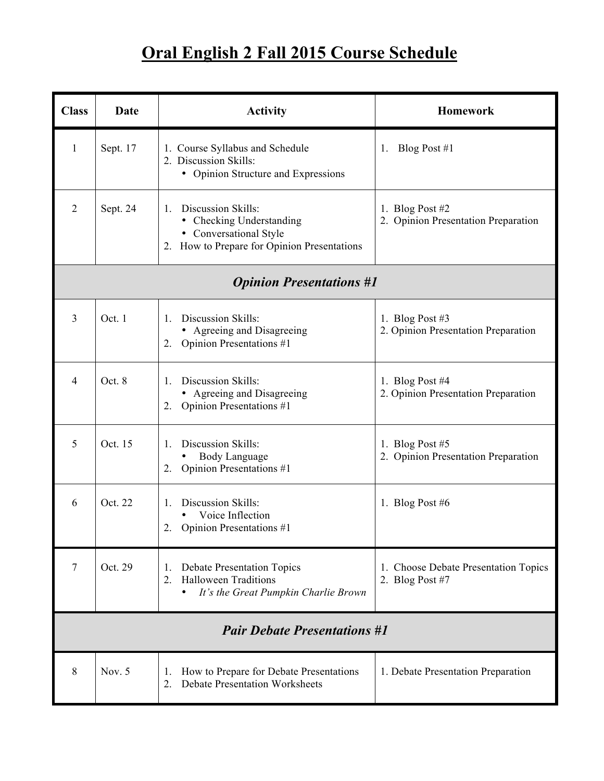## **Oral English 2 Fall 2015 Course Schedule**

| <b>Class</b>                        | Date     | <b>Activity</b>                                                                                                                                    | <b>Homework</b>                                           |  |  |
|-------------------------------------|----------|----------------------------------------------------------------------------------------------------------------------------------------------------|-----------------------------------------------------------|--|--|
| 1                                   | Sept. 17 | 1. Course Syllabus and Schedule<br>2. Discussion Skills:<br>• Opinion Structure and Expressions                                                    | Blog Post $#1$<br>1.                                      |  |  |
| $\overline{2}$                      | Sept. 24 | Discussion Skills:<br>$\mathbf{1}_{\cdot}$<br>• Checking Understanding<br>• Conversational Style<br>How to Prepare for Opinion Presentations<br>2. | 1. Blog Post $#2$<br>2. Opinion Presentation Preparation  |  |  |
| <b>Opinion Presentations #1</b>     |          |                                                                                                                                                    |                                                           |  |  |
| $\overline{3}$                      | Oct. 1   | Discussion Skills:<br>$1_{-}$<br>• Agreeing and Disagreeing<br><b>Opinion Presentations #1</b><br>2.                                               | 1. Blog Post #3<br>2. Opinion Presentation Preparation    |  |  |
| 4                                   | Oct. 8   | Discussion Skills:<br>1.<br>• Agreeing and Disagreeing<br>2. Opinion Presentations #1                                                              | 1. Blog Post $#4$<br>2. Opinion Presentation Preparation  |  |  |
| 5                                   | Oct. 15  | Discussion Skills:<br>$\mathbf{1}_{\cdot}$<br>Body Language<br>Opinion Presentations #1<br>2.                                                      | 1. Blog Post $#5$<br>2. Opinion Presentation Preparation  |  |  |
| 6                                   | Oct. 22  | Discussion Skills:<br>$1_{-}$<br>Voice Inflection<br>Opinion Presentations #1<br>2.                                                                | 1. Blog Post $#6$                                         |  |  |
| 7                                   | Oct. 29  | <b>Debate Presentation Topics</b><br>1.<br><b>Halloween Traditions</b><br>$2_{\cdot}$<br>It's the Great Pumpkin Charlie Brown<br>$\bullet$         | 1. Choose Debate Presentation Topics<br>2. Blog Post $#7$ |  |  |
| <b>Pair Debate Presentations #1</b> |          |                                                                                                                                                    |                                                           |  |  |
| 8                                   | Nov. 5   | How to Prepare for Debate Presentations<br>1.<br><b>Debate Presentation Worksheets</b><br>2.                                                       | 1. Debate Presentation Preparation                        |  |  |